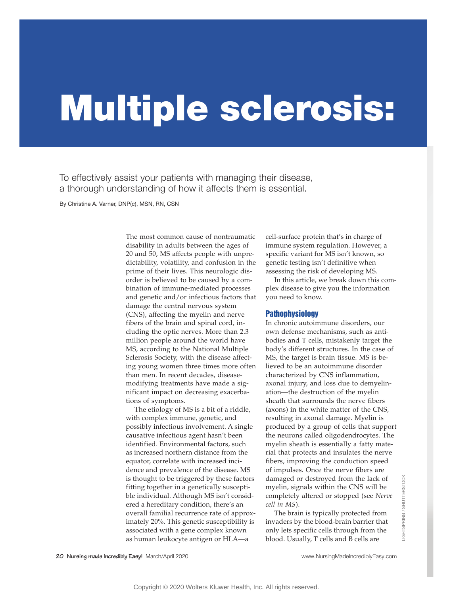# **Multiple sclerosis:**

To effectively assist your patients with managing their disease, a thorough understanding of how it affects them is essential.

By Christine A. Varner, DNP(c), MSN, RN, CSN

The most common cause of nontraumatic disability in adults between the ages of 20 and 50, MS affects people with unpredictability, volatility, and confusion in the prime of their lives. This neurologic disorder is believed to be caused by a combination of immune-mediated processes and genetic and/or infectious factors that damage the central nervous system (CNS), affecting the myelin and nerve fibers of the brain and spinal cord, including the optic nerves. More than 2.3 million people around the world have MS, according to the National Multiple Sclerosis Society, with the disease affecting young women three times more often than men. In recent decades, diseasemodifying treatments have made a significant impact on decreasing exacerbations of symptoms.

The etiology of MS is a bit of a riddle, with complex immune, genetic, and possibly infectious involvement. A single causative infectious agent hasn't been identified. Environmental factors, such as increased northern distance from the equator, correlate with increased incidence and prevalence of the disease. MS is thought to be triggered by these factors fitting together in a genetically susceptible individual. Although MS isn't considered a hereditary condition, there's an overall familial recurrence rate of approximately 20%. This genetic susceptibility is associated with a gene complex known as human leukocyte antigen or HLA—a

cell-surface protein that's in charge of immune system regulation. However, a specific variant for MS isn't known, so genetic testing isn't definitive when assessing the risk of developing MS.

In this article, we break down this complex disease to give you the information you need to know.

## **Pathophysiology**

In chronic autoimmune disorders, our own defense mechanisms, such as antibodies and T cells, mistakenly target the body's different structures. In the case of MS, the target is brain tissue. MS is believed to be an autoimmune disorder characterized by CNS inflammation, axonal injury, and loss due to demyelination—the destruction of the myelin sheath that surrounds the nerve fibers (axons) in the white matter of the CNS, resulting in axonal damage. Myelin is produced by a group of cells that support the neurons called oligodendrocytes. The myelin sheath is essentially a fatty material that protects and insulates the nerve fibers, improving the conduction speed of impulses. Once the nerve fibers are damaged or destroyed from the lack of myelin, signals within the CNS will be completely altered or stopped (see *Nerve cell in MS*).

The brain is typically protected from invaders by the blood-brain barrier that only lets specific cells through from the blood. Usually, T cells and B cells are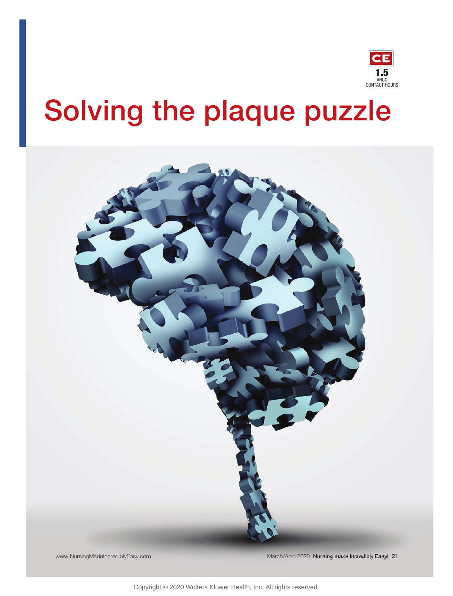

## **Solving the plaque puzzle**



Copyright © 2020 Wolters Kluwer Health, Inc. All rights reserved.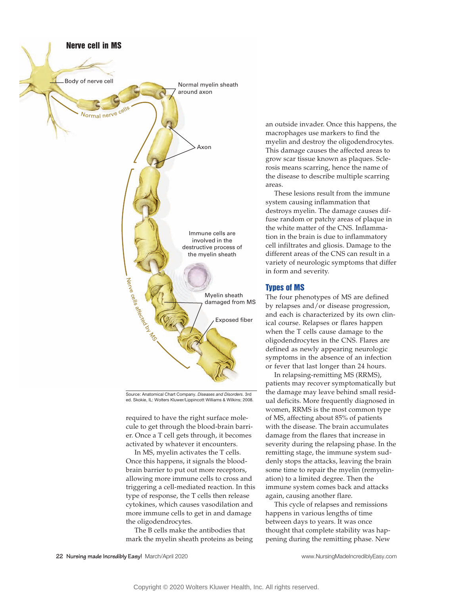

Source: Anatomical Chart Company. *Diseases and Disorders*. 3rd ed. Skokie, IL: Wolters Kluwer/Lippincott Williams & Wilkins; 2008.

required to have the right surface molecule to get through the blood-brain barrier. Once a T cell gets through, it becomes activated by whatever it encounters.

In MS, myelin activates the T cells. Once this happens, it signals the bloodbrain barrier to put out more receptors, allowing more immune cells to cross and triggering a cell-mediated reaction. In this type of response, the T cells then release cytokines, which causes vasodilation and more immune cells to get in and damage the oligodendrocytes.

The B cells make the antibodies that mark the myelin sheath proteins as being an outside invader. Once this happens, the macrophages use markers to find the myelin and destroy the oligodendrocytes. This damage causes the affected areas to grow scar tissue known as plaques. Sclerosis means scarring, hence the name of the disease to describe multiple scarring areas.

These lesions result from the immune system causing inflammation that destroys myelin. The damage causes diffuse random or patchy areas of plaque in the white matter of the CNS. Inflammation in the brain is due to inflammatory cell infiltrates and gliosis. Damage to the different areas of the CNS can result in a variety of neurologic symptoms that differ in form and severity.

## Types of MS

The four phenotypes of MS are defined by relapses and/or disease progression, and each is characterized by its own clinical course. Relapses or flares happen when the T cells cause damage to the oligodendrocytes in the CNS. Flares are defined as newly appearing neurologic symptoms in the absence of an infection or fever that last longer than 24 hours.

In relapsing-remitting MS (RRMS), patients may recover symptomatically but the damage may leave behind small residual deficits. More frequently diagnosed in women, RRMS is the most common type of MS, affecting about 85% of patients with the disease. The brain accumulates damage from the flares that increase in severity during the relapsing phase. In the remitting stage, the immune system suddenly stops the attacks, leaving the brain some time to repair the myelin (remyelination) to a limited degree. Then the immune system comes back and attacks again, causing another flare.

This cycle of relapses and remissions happens in various lengths of time between days to years. It was once thought that complete stability was happening during the remitting phase. New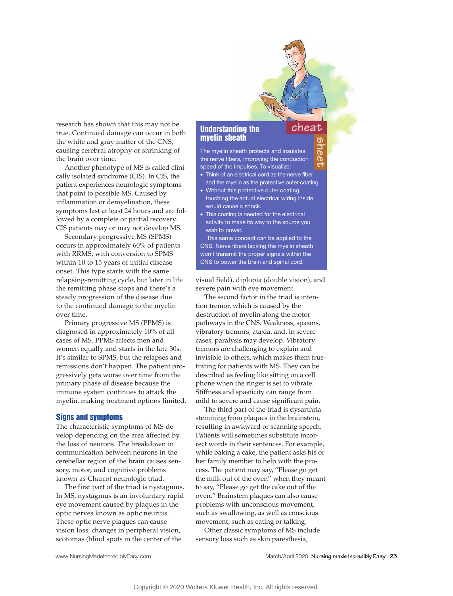research has shown that this may not be true. Continued damage can occur in both the white and gray matter of the CNS, causing cerebral atrophy or shrinking of the brain over time.

Another phenotype of MS is called clinically isolated syndrome (CIS). In CIS, the patient experiences neurologic symptoms that point to possible MS. Caused by inflammation or demyelination, these symptoms last at least 24 hours and are followed by a complete or partial recovery. CIS patients may or may not develop MS.

Secondary progressive MS (SPMS) occurs in approximately 60% of patients with RRMS, with conversion to SPMS within 10 to 15 years of initial disease onset. This type starts with the same relapsing-remitting cycle, but later in life the remitting phase stops and there's a steady progression of the disease due to the continued damage to the myelin over time.

Primary progressive MS (PPMS) is diagnosed in approximately 10% of all cases of MS. PPMS affects men and women equally and starts in the late 30s. It's similar to SPMS, but the relapses and remissions don't happen. The patient progressively gets worse over time from the primary phase of disease because the immune system continues to attack the myelin, making treatment options limited.

#### Signs and symptoms

The characteristic symptoms of MS develop depending on the area affected by the loss of neurons. The breakdown in communication between neurons in the cerebellar region of the brain causes sensory, motor, and cognitive problems known as Charcot neurologic triad.

The first part of the triad is nystagmus. In MS, nystagmus is an involuntary rapid eye movement caused by plaques in the optic nerves known as optic neuritis. These optic nerve plaques can cause vision loss, changes in peripheral vision, scotomas (blind spots in the center of the

## Understanding the myelin sheath

The myelin sheath protects and insulates the nerve fibers, improving the conduction speed of the impulses. To visualize:

**sheet**

**cheat**

- Think of an electrical cord as the nerve fiber and the myelin as the protective outer coating.
- Without this protective outer coating, touching the actual electrical wiring inside would cause a shock.
- This coating is needed for the electrical activity to make its way to the source you wish to power.

This same concept can be applied to the CNS. Nerve fibers lacking the myelin sheath won't transmit the proper signals within the CNS to power the brain and spinal cord.

visual field), diplopia (double vision), and severe pain with eye movement.

The second factor in the triad is intention tremor, which is caused by the destruction of myelin along the motor pathways in the CNS. Weakness, spasms, vibratory tremors, ataxia, and, in severe cases, paralysis may develop. Vibratory tremors are challenging to explain and invisible to others, which makes them frustrating for patients with MS. They can be described as feeling like sitting on a cell phone when the ringer is set to vibrate. Stiffness and spasticity can range from mild to severe and cause significant pain.

The third part of the triad is dysarthria stemming from plaques in the brainstem, resulting in awkward or scanning speech. Patients will sometimes substitute incorrect words in their sentences. For example, while baking a cake, the patient asks his or her family member to help with the process. The patient may say, "Please go get the milk out of the oven" when they meant to say, "Please go get the cake out of the oven." Brainstem plaques can also cause problems with unconscious movement, such as swallowing, as well as conscious movement, such as eating or talking.

Other classic symptoms of MS include sensory loss such as skin paresthesia,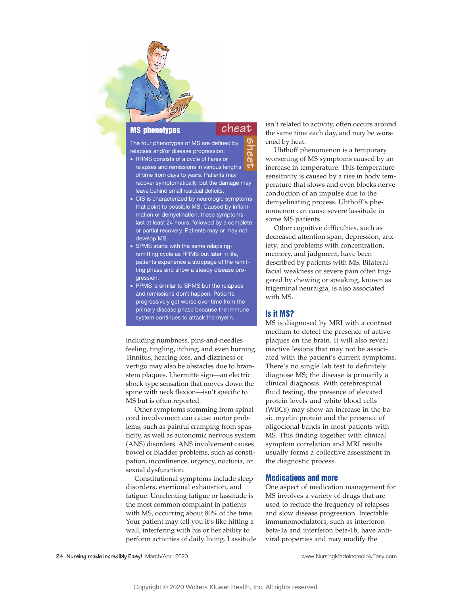## MS phenotypes

## **cheat**

- The four phenotypes of MS are defined by relapses and/or disease progression: • RRMS consists of a cycle of flares or relapses and remissions in various lengths of time from days to years. Patients may recover symptomatically, but the damage may leave behind small residual deficits. **sheet**
- CIS is characterized by neurologic symptoms that point to possible MS. Caused by inflammation or demyelination, these symptoms last at least 24 hours, followed by a complete or partial recovery. Patients may or may not develop MS.
- SPMS starts with the same relapsingremitting cycle as RRMS but later in life, patients experience a stoppage of the remitting phase and show a steady disease progression.
- PPMS is similar to SPMS but the relapses and remissions don't happen. Patients progressively get worse over time from the primary disease phase because the immune system continues to attack the myelin.

including numbness, pins-and-needles feeling, tingling, itching, and even burning. Tinnitus, hearing loss, and dizziness or vertigo may also be obstacles due to brainstem plaques. Lhermitte sign—an electric shock type sensation that moves down the spine with neck flexion—isn't specific to MS but is often reported.

Other symptoms stemming from spinal cord involvement can cause motor problems, such as painful cramping from spasticity, as well as autonomic nervous system (ANS) disorders. ANS involvement causes bowel or bladder problems, such as constipation, incontinence, urgency, nocturia, or sexual dysfunction.

Constitutional symptoms include sleep disorders, exertional exhaustion, and fatigue. Unrelenting fatigue or lassitude is the most common complaint in patients with MS, occurring about 80% of the time. Your patient may tell you it's like hitting a wall, interfering with his or her ability to perform activities of daily living. Lassitude isn't related to activity, often occurs around the same time each day, and may be worsened by heat.

Uhthoff phenomenon is a temporary worsening of MS symptoms caused by an increase in temperature. This temperature sensitivity is caused by a rise in body temperature that slows and even blocks nerve conduction of an impulse due to the demyelinating process. Uhthoff's phenomenon can cause severe lassitude in some MS patients.

Other cognitive difficulties, such as decreased attention span; depression; anxiety; and problems with concentration, memory, and judgment, have been described by patients with MS. Bilateral facial weakness or severe pain often triggered by chewing or speaking, known as trigeminal neuralgia, is also associated with MS.

## Is it MS?

MS is diagnosed by MRI with a contrast medium to detect the presence of active plaques on the brain. It will also reveal inactive lesions that may not be associated with the patient's current symptoms. There's no single lab test to definitely diagnose MS; the disease is primarily a clinical diagnosis. With cerebrospinal fluid testing, the presence of elevated protein levels and white blood cells (WBCs) may show an increase in the basic myelin protein and the presence of oligoclonal bands in most patients with MS. This finding together with clinical symptom correlation and MRI results usually forms a collective assessment in the diagnostic process.

## Medications and more

One aspect of medication management for MS involves a variety of drugs that are used to reduce the frequency of relapses and slow disease progression. Injectable immunomodulators, such as interferon beta-1a and interferon beta-1b, have antiviral properties and may modify the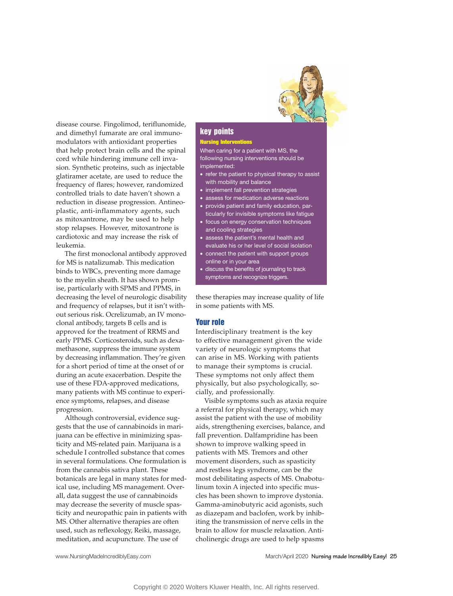

disease course. Fingolimod, teriflunomide, and dimethyl fumarate are oral immunomodulators with antioxidant properties that help protect brain cells and the spinal cord while hindering immune cell invasion. Synthetic proteins, such as injectable glatiramer acetate, are used to reduce the frequency of flares; however, randomized controlled trials to date haven't shown a reduction in disease progression. Antineoplastic, anti-inflammatory agents, such as mitoxantrone, may be used to help stop relapses. However, mitoxantrone is cardiotoxic and may increase the risk of leukemia.

The first monoclonal antibody approved for MS is natalizumab. This medication binds to WBCs, preventing more damage to the myelin sheath. It has shown promise, particularly with SPMS and PPMS, in decreasing the level of neurologic disability and frequency of relapses, but it isn't without serious risk. Ocrelizumab, an IV monoclonal antibody, targets B cells and is approved for the treatment of RRMS and early PPMS. Corticosteroids, such as dexamethasone, suppress the immune system by decreasing inflammation. They're given for a short period of time at the onset of or during an acute exacerbation. Despite the use of these FDA-approved medications, many patients with MS continue to experience symptoms, relapses, and disease progression.

Although controversial, evidence suggests that the use of cannabinoids in marijuana can be effective in minimizing spasticity and MS-related pain. Marijuana is a schedule I controlled substance that comes in several formulations. One formulation is from the cannabis sativa plant. These botanicals are legal in many states for medical use, including MS management. Overall, data suggest the use of cannabinoids may decrease the severity of muscle spasticity and neuropathic pain in patients with MS. Other alternative therapies are often used, such as reflexology, Reiki, massage, meditation, and acupuncture. The use of

#### key points

#### **Nursing Interventions**

When caring for a patient with MS, the following nursing interventions should be implemented:

- refer the patient to physical therapy to assist with mobility and balance
- implement fall prevention strategies
- assess for medication adverse reactions
- provide patient and family education, particularly for invisible symptoms like fatigue
- focus on energy conservation techniques and cooling strategies
- assess the patient's mental health and evaluate his or her level of social isolation
- connect the patient with support groups online or in your area
- discuss the benefits of journaling to track symptoms and recognize triggers.

these therapies may increase quality of life in some patients with MS.

## Your role

Interdisciplinary treatment is the key to effective management given the wide variety of neurologic symptoms that can arise in MS. Working with patients to manage their symptoms is crucial. These symptoms not only affect them physically, but also psychologically, socially, and professionally.

Visible symptoms such as ataxia require a referral for physical therapy, which may assist the patient with the use of mobility aids, strengthening exercises, balance, and fall prevention. Dalfampridine has been shown to improve walking speed in patients with MS. Tremors and other movement disorders, such as spasticity and restless legs syndrome, can be the most debilitating aspects of MS. Onabotulinum toxin A injected into specific muscles has been shown to improve dystonia. Gamma-aminobutyric acid agonists, such as diazepam and baclofen, work by inhibiting the transmission of nerve cells in the brain to allow for muscle relaxation. Anticholinergic drugs are used to help spasms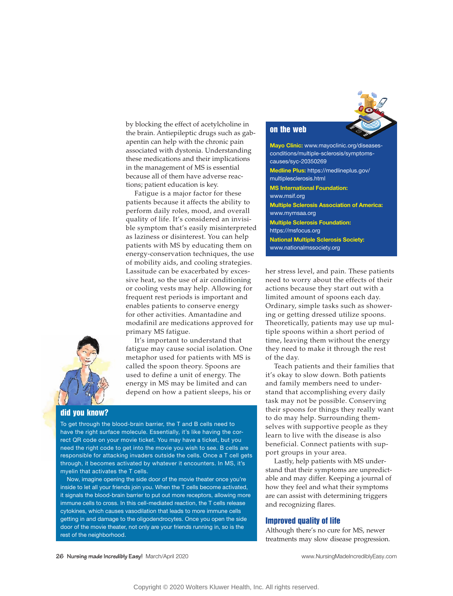

by blocking the effect of acetylcholine in the brain. Antiepileptic drugs such as gabapentin can help with the chronic pain associated with dystonia. Understanding these medications and their implications in the management of MS is essential because all of them have adverse reactions; patient education is key.

Fatigue is a major factor for these patients because it affects the ability to perform daily roles, mood, and overall quality of life. It's considered an invisible symptom that's easily misinterpreted as laziness or disinterest. You can help patients with MS by educating them on energy-conservation techniques, the use of mobility aids, and cooling strategies. Lassitude can be exacerbated by excessive heat, so the use of air conditioning or cooling vests may help. Allowing for frequent rest periods is important and enables patients to conserve energy for other activities. Amantadine and modafinil are medications approved for primary MS fatigue.

It's important to understand that fatigue may cause social isolation. One metaphor used for patients with MS is called the spoon theory. Spoons are used to define a unit of energy. The energy in MS may be limited and can depend on how a patient sleeps, his or

## did you know?

To get through the blood-brain barrier, the T and B cells need to have the right surface molecule. Essentially, it's like having the correct QR code on your movie ticket. You may have a ticket, but you need the right code to get into the movie you wish to see. B cells are responsible for attacking invaders outside the cells. Once a T cell gets through, it becomes activated by whatever it encounters. In MS, it's myelin that activates the T cells.

Now, imagine opening the side door of the movie theater once you're inside to let all your friends join you. When the T cells become activated, it signals the blood-brain barrier to put out more receptors, allowing more immune cells to cross. In this cell-mediated reaction, the T cells release cytokines, which causes vasodilation that leads to more immune cells getting in and damage to the oligodendrocytes. Once you open the side door of the movie theater, not only are your friends running in, so is the rest of the neighborhood.

## on the web

**Mayo Clinic:** www.mayoclinic.org/diseasesconditions/multiple-sclerosis/symptomscauses/syc-20350269 **Medline Plus:** https://medlineplus.gov/ multiplesclerosis.html **MS International Foundation:** www.msif.org **Multiple Sclerosis Association of America:** www.mymsaa.org **Multiple Sclerosis Foundation:**  https://msfocus.org **National Multiple Sclerosis Society:** www.nationalmssociety.org

her stress level, and pain. These patients need to worry about the effects of their actions because they start out with a limited amount of spoons each day. Ordinary, simple tasks such as showering or getting dressed utilize spoons. Theoretically, patients may use up multiple spoons within a short period of time, leaving them without the energy they need to make it through the rest of the day.

Teach patients and their families that it's okay to slow down. Both patients and family members need to understand that accomplishing every daily task may not be possible. Conserving their spoons for things they really want to do may help. Surrounding themselves with supportive people as they learn to live with the disease is also beneficial. Connect patients with support groups in your area.

Lastly, help patients with MS understand that their symptoms are unpredictable and may differ. Keeping a journal of how they feel and what their symptoms are can assist with determining triggers and recognizing flares.

#### Improved quality of life

Although there's no cure for MS, newer treatments may slow disease progression.

**26 Nursing made Incredibly Easy!** March/April 2020 www.NursingMadeIncrediblyEasy.com